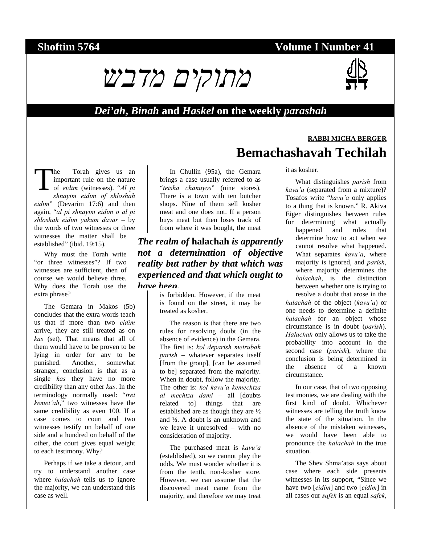# **Shoftim 5764** Volume I Number 41



#### *Dei'ah***,** *Binah* **and** *Haskel* **on the weekly** *parashah*

he Torah gives us an important rule on the nature of *eidim* (witnesses). "*Al pi shnayim eidim of shloshah eidim*" (Devarim 17:6) and then again, "*al pi shnayim eidim o al pi shloshah eidim yakum davar* – by the words of two witnesses or three witnesses the matter shall be established" (ibid. 19:15). T

Why must the Torah write "or three witnesses"? If two witnesses are sufficient, then of course we would believe three. Why does the Torah use the extra phrase?

The Gemara in Makos (5b) concludes that the extra words teach us that if more than two *eidim* arrive, they are still treated as on *kas* (set). That means that all of them would have to be proven to be lying in order for any to be punished. Another, somewhat stranger, conclusion is that as a single *kas* they have no more credibility than any other *kas*. In the terminology normally used: "*trei kemei'ah*," two witnesses have the same credibility as even 100. If a case comes to court and two witnesses testify on behalf of one side and a hundred on behalf of the other, the court gives equal weight to each testimony. Why?

Perhaps if we take a detour, and try to understand another case where *halachah* tells us to ignore the majority, we can understand this case as well.

In Chullin (95a), the Gemara brings a case usually referred to as "*teisha chanuyos*" (nine stores). There is a town with ten butcher shops. Nine of them sell kosher meat and one does not. If a person buys meat but then loses track of from where it was bought, the meat

#### *The realm of* **halachah** *is apparently not a determination of objective reality but rather by that which was experienced and that which ought to have been.*

is forbidden. However, if the meat is found on the street, it may be treated as kosher.

The reason is that there are two rules for resolving doubt (in the absence of evidence) in the Gemara. The first is: *kol deparish meirubah parish* – whatever separates itself [from the group], [can be assumed to be] separated from the majority. When in doubt, follow the majority. The other is: *kol kavu'a kemechtza al mechtza dami* – all [doubts related to] things that are established are as though they are ½ and ½. A doubt is an unknown and we leave it unresolved – with no consideration of majority.

The purchased meat is *kavu'a* (established), so we cannot play the odds. We must wonder whether it is from the tenth, non-kosher store. However, we can assume that the discovered meat came from the majority, and therefore we may treat

# **RABBI MICHA BERGER Bemachashavah Techilah**

#### it as kosher.

What distinguishes *parish* from *kavu'a* (separated from a mixture)? Tosafos write "*kavu'a* only applies to a thing that is known." R. Akiva Eiger distinguishes between rules for determining what actually happened and rules that determine how to act when we cannot resolve what happened. What separates *kavu'a*, where majority is ignored, and *parish*, where majority determines the *halachah*, is the distinction between whether one is trying to resolve a doubt that arose in the

*halachah* of the object (*kavu'a*) or one needs to determine a definite *halachah* for an object whose circumstance is in doubt (*parish*). *Halachah* only allows us to take the probability into account in the second case (*parish*), where the conclusion is being determined in the absence of a known circumstance.

In our case, that of two opposing testimonies, we are dealing with the first kind of doubt. Whichever witnesses are telling the truth know the state of the situation. In the absence of the mistaken witnesses, we would have been able to pronounce the *halachah* in the true situation.

The Shev Shma'atsa says about case where each side presents witnesses in its support, "Since we have two [*eidim*] and two [*eidim*] in all cases our *safek* is an equal *safek*,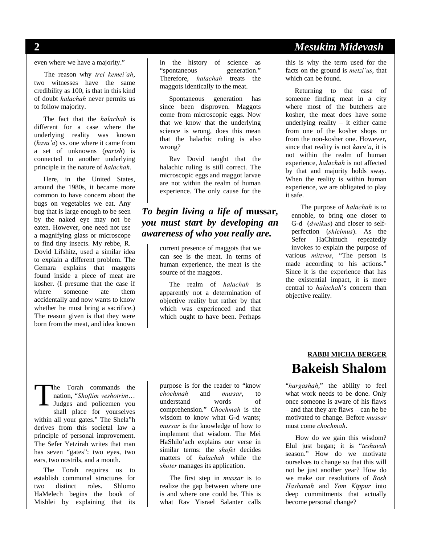**2** *Mesukim Midevash* 

even where we have a majority."

The reason why *trei kemei'ah*, two witnesses have the same credibility as 100, is that in this kind of doubt *halachah* never permits us to follow majority.

The fact that the *halachah* is different for a case where the underlying reality was known (*kavu'a*) vs. one where it came from a set of unknowns (*parish*) is connected to another underlying principle in the nature of *halachah*.

Here, in the United States, around the 1980s, it became more common to have concern about the bugs on vegetables we eat. Any bug that is large enough to be seen by the naked eye may not be eaten. However, one need not use a magnifying glass or microscope to find tiny insects. My rebbe, R. Dovid Lifshitz, used a similar idea to explain a different problem. The Gemara explains that maggots found inside a piece of meat are kosher. (I presume that the case if where someone ate them accidentally and now wants to know whether he must bring a sacrifice.) The reason given is that they were born from the meat, and idea known in the history of science as "spontaneous generation." Therefore, *halachah* treats the maggots identically to the meat.

Spontaneous generation has since been disproven. Maggots come from microscopic eggs. Now that we know that the underlying science is wrong, does this mean that the halachic ruling is also wrong?

Rav Dovid taught that the halachic ruling is still correct. The microscopic eggs and maggot larvae are not within the realm of human experience. The only cause for the

## *To begin living a life of* **mussar***, you must start by developing an awareness of who you really are.*

current presence of maggots that we can see is the meat. In terms of human experience, the meat is the source of the maggots.

The realm of *halachah* is apparently not a determination of objective reality but rather by that which was experienced and that which ought to have been. Perhaps this is why the term used for the facts on the ground is *metzi'us*, that which can be found.

Returning to the case of someone finding meat in a city where most of the butchers are kosher, the meat does have some underlying reality – it either came from one of the kosher shops or from the non-kosher one. However, since that reality is not *kavu'a*, it is not within the realm of human experience, *halachah* is not affected by that and majority holds sway. When the reality is within human experience, we are obligated to play it safe.

The purpose of *halachah* is to ennoble, to bring one closer to G-d (*dveikus*) and closer to selfperfection (*shleimus*). As the Sefer HaChinuch repeatedly invokes to explain the purpose of various *mitzvos*, "The person is made according to his actions." Since it is the experience that has the existential impact, it is more central to *halachah*'s concern than objective reality.

he Torah commands the nation, "*Shoftim veshotrim*… Judges and policemen you shall place for yourselves within all your gates." The Shela"h derives from this societal law a principle of personal improvement. The Sefer Yetzirah writes that man has seven "gates": two eyes, two ears, two nostrils, and a mouth. T

The Torah requires us to establish communal structures for two distinct roles. Shlomo HaMelech begins the book of Mishlei by explaining that its

purpose is for the reader to "know *chochmah* and *mussar*, to understand words of comprehension." *Chochmah* is the wisdom to know what G-d wants; *mussar* is the knowledge of how to implement that wisdom. The Mei HaShilo'ach explains our verse in similar terms: the *shofet* decides matters of *halachah* while the *shoter* manages its application.

The first step in *mussar* is to realize the gap between where one is and where one could be. This is what Rav Yisrael Salanter calls

# **RABBI MICHA BERGER Bakeish Shalom**

"*hargashah*," the ability to feel what work needs to be done. Only once someone is aware of his flaws – and that they are flaws – can he be motivated to change. Before *mussar* must come *chochmah*.

How do we gain this wisdom? Elul just began; it is "*teshuvah* season." How do we motivate ourselves to change so that this will not be just another year? How do we make our resolutions of *Rosh Hashanah* and *Yom Kippur* into deep commitments that actually become personal change?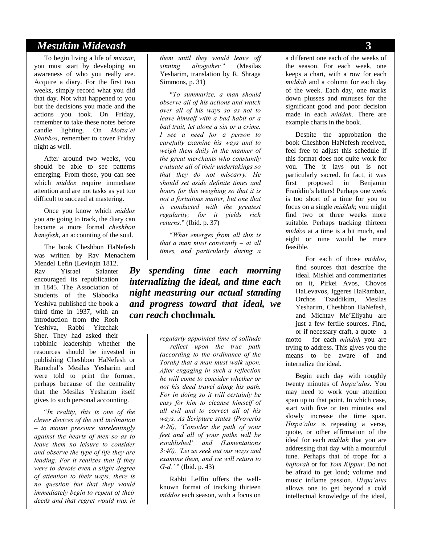## *Mesukim Midevash* **3**

To begin living a life of *mussar*, you must start by developing an awareness of who you really are. Acquire a diary. For the first two weeks, simply record what you did that day. Not what happened to you but the decisions you made and the actions you took. On Friday, remember to take these notes before candle lighting. On *Motza'ei Shabbos*, remember to cover Friday night as well.

After around two weeks, you should be able to see patterns emerging. From those, you can see which *middos* require immediate attention and are not tasks as yet too difficult to succeed at mastering.

Once you know which *middos* you are going to track, the diary can become a more formal *cheshbon hanefesh*, an accounting of the soul.

The book Cheshbon HaNefesh was written by Rav Menachem Mendel Lefin (Levin)in 1812. Rav Yisrael Salanter encouraged its republication in 1845. The Association of Students of the Slabodka Yeshiva published the book a third time in 1937, with an introduction from the Rosh Yeshiva, Rabbi Yitzchak Sher. They had asked their rabbinic leadership whether the resources should be invested in publishing Cheshbon HaNefesh or Ramchal's Mesilas Yesharim and were told to print the former, perhaps because of the centrality that the Mesilas Yesharim itself gives to such personal accounting.

"*In reality, this is one of the clever devices of the evil inclination – to mount pressure unrelentingly against the hearts of men so as to leave them no leisure to consider and observe the type of life they are leading. For it realizes that if they were to devote even a slight degree of attention to their ways, there is no question but that they would immediately begin to repent of their deeds and that regret would wax in*  *them until they would leave off sinning altogether.*" (Mesilas Yesharim, translation by R. Shraga Simmons, p. 31)

"*To summarize, a man should observe all of his actions and watch over all of his ways so as not to leave himself with a bad habit or a bad trait, let alone a sin or a crime. I see a need for a person to carefully examine his ways and to weigh them daily in the manner of the great merchants who constantly evaluate all of their undertakings so that they do not miscarry. He should set aside definite times and hours for this weighing so that it is not a fortuitous matter, but one that is conducted with the greatest regularity; for it yields rich returns.*" (Ibid. p. 37)

"*What emerges from all this is that a man must constantly – at all times, and particularly during a* 

*By spending time each morning internalizing the ideal, and time each night measuring our actual standing and progress toward that ideal, we can reach* **chochmah***.* 

> *regularly appointed time of solitude – reflect upon the true path (according to the ordinance of the Torah) that a man must walk upon. After engaging in such a reflection he will come to consider whether or not his deed travel along his path. For in doing so it will certainly be easy for him to cleanse himself of all evil and to correct all of his ways. As Scripture states (Proverbs 4:26), 'Consider the path of your feet and all of your paths will be established' and (Lamentations 3:40), 'Let us seek out our ways and examine them, and we will return to G-d.'* " (Ibid. p. 43)

Rabbi Leffin offers the wellknown format of tracking thirteen *middos* each season, with a focus on a different one each of the weeks of the season. For each week, one keeps a chart, with a row for each *middah* and a column for each day of the week. Each day, one marks down plusses and minuses for the significant good and poor decision made in each *middah*. There are example charts in the book.

Despite the approbation the book Cheshbon HaNefesh received, feel free to adjust this schedule if this format does not quite work for you. The it lays out is not particularly sacred. In fact, it was first proposed in Benjamin Franklin's letters! Perhaps one week is too short of a time for you to focus on a single *middah*; you might find two or three weeks more suitable. Perhaps tracking thirteen *middos* at a time is a bit much, and eight or nine would be more feasible.

For each of those *middos*, find sources that describe the ideal. Mishlei and commentaries on it, Pirkei Avos, Chovos HaLevavos, Iggeres HaRamban, Orchos Tzaddikim, Mesilas Yesharim, Cheshbon HaNefesh, and Michtav Me'Eliyahu are just a few fertile sources. Find, or if necessary craft, a quote – a motto – for each *middah* you are trying to address. This gives you the means to be aware of and

internalize the ideal.

Begin each day with roughly twenty minutes of *hispa'alus*. You may need to work your attention span up to that point. In which case, start with five or ten minutes and slowly increase the time span. *Hispa'alus* is repeating a verse, quote, or other affirmation of the ideal for each *middah* that you are addressing that day with a mournful tune. Perhaps that of trope for a *haftorah* or for *Yom Kippur*. Do not be afraid to get loud; volume and music inflame passion. *Hispa'alus* allows one to get beyond a cold intellectual knowledge of the ideal,